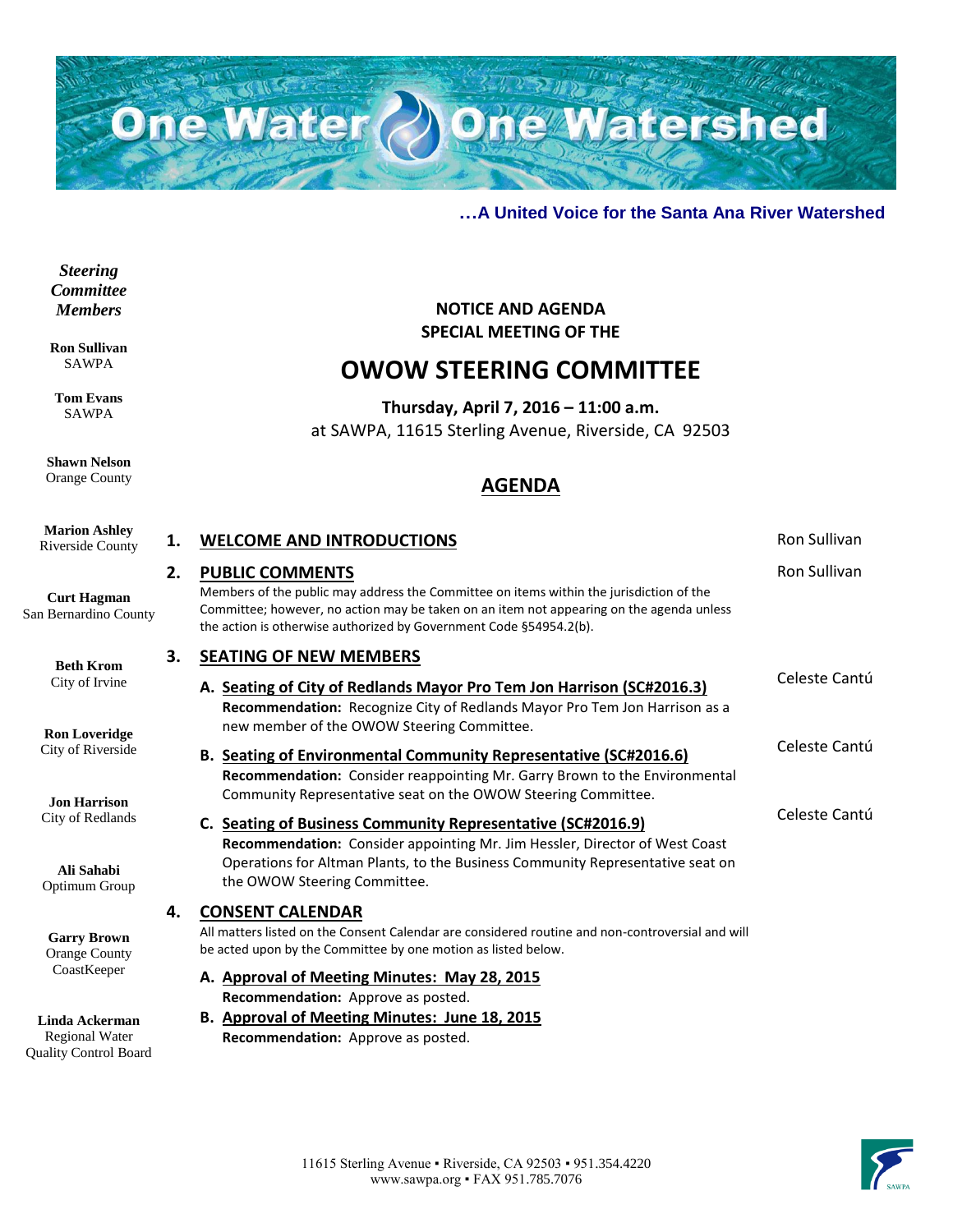

# **…A United Voice for the Santa Ana River Watershed**

*Steering Committee Members*

**Ron Sullivan** SAWPA

**Tom Evans** SAWPA

**Shawn Nelson** Orange County

Regional Water Quality Control Board

San

**NOTICE AND AGENDA SPECIAL MEETING OF THE**

# **OWOW STEERING COMMITTEE**

**Thursday, April 7, 2016 – 11:00 a.m.**

at SAWPA, 11615 Sterling Avenue, Riverside, CA 92503

# **AGENDA**

| <b>Marion Ashley</b><br>Riverside County                  | 1. | <b>WELCOME AND INTRODUCTIONS</b>                                                                                                                                                                                                                                                    | Ron Sullivan  |
|-----------------------------------------------------------|----|-------------------------------------------------------------------------------------------------------------------------------------------------------------------------------------------------------------------------------------------------------------------------------------|---------------|
| <b>Curt Hagman</b><br>un Bernardino County                | 2. | <b>PUBLIC COMMENTS</b><br>Members of the public may address the Committee on items within the jurisdiction of the<br>Committee; however, no action may be taken on an item not appearing on the agenda unless<br>the action is otherwise authorized by Government Code §54954.2(b). | Ron Sullivan  |
| <b>Beth Krom</b><br>City of Irvine                        | 3. | <b>SEATING OF NEW MEMBERS</b><br>A. Seating of City of Redlands Mayor Pro Tem Jon Harrison (SC#2016.3)<br>Recommendation: Recognize City of Redlands Mayor Pro Tem Jon Harrison as a                                                                                                | Celeste Cantú |
| <b>Ron Loveridge</b><br>City of Riverside                 |    | new member of the OWOW Steering Committee.<br>B. Seating of Environmental Community Representative (SC#2016.6)<br>Recommendation: Consider reappointing Mr. Garry Brown to the Environmental<br>Community Representative seat on the OWOW Steering Committee.                       | Celeste Cantú |
| <b>Jon Harrison</b><br>City of Redlands<br>Ali Sahabi     |    | C. Seating of Business Community Representative (SC#2016.9)<br>Recommendation: Consider appointing Mr. Jim Hessler, Director of West Coast<br>Operations for Altman Plants, to the Business Community Representative seat on                                                        | Celeste Cantú |
| Optimum Group                                             | 4. | the OWOW Steering Committee.<br><b>CONSENT CALENDAR</b>                                                                                                                                                                                                                             |               |
| <b>Garry Brown</b><br><b>Orange County</b><br>CoastKeeper |    | All matters listed on the Consent Calendar are considered routine and non-controversial and will<br>be acted upon by the Committee by one motion as listed below.<br>A. Approval of Meeting Minutes: May 28, 2015<br>Recommendation: Approve as posted.                             |               |
| Linda Ackerman                                            |    | B. Approval of Meeting Minutes: June 18, 2015                                                                                                                                                                                                                                       |               |

**B. Approval of Meeting Minutes: June 18, 2015 Recommendation:** Approve as posted.